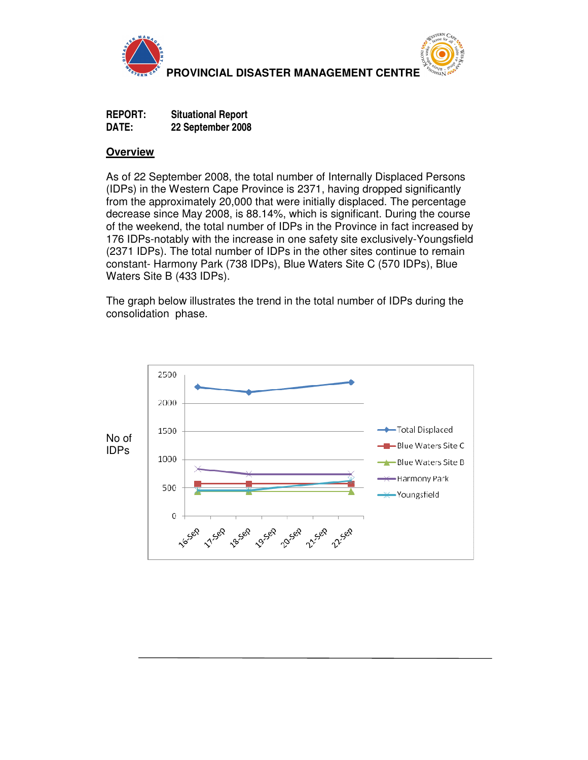



**REPORT: Situational Report DATE: 22 September 2008**

## **Overview**

As of 22 September 2008, the total number of Internally Displaced Persons (IDPs) in the Western Cape Province is 2371, having dropped significantly from the approximately 20,000 that were initially displaced. The percentage decrease since May 2008, is 88.14%, which is significant. During the course of the weekend, the total number of IDPs in the Province in fact increased by 176 IDPs-notably with the increase in one safety site exclusively-Youngsfield (2371 IDPs). The total number of IDPs in the other sites continue to remain constant- Harmony Park (738 IDPs), Blue Waters Site C (570 IDPs), Blue Waters Site B (433 IDPs).

The graph below illustrates the trend in the total number of IDPs during the consolidation phase.

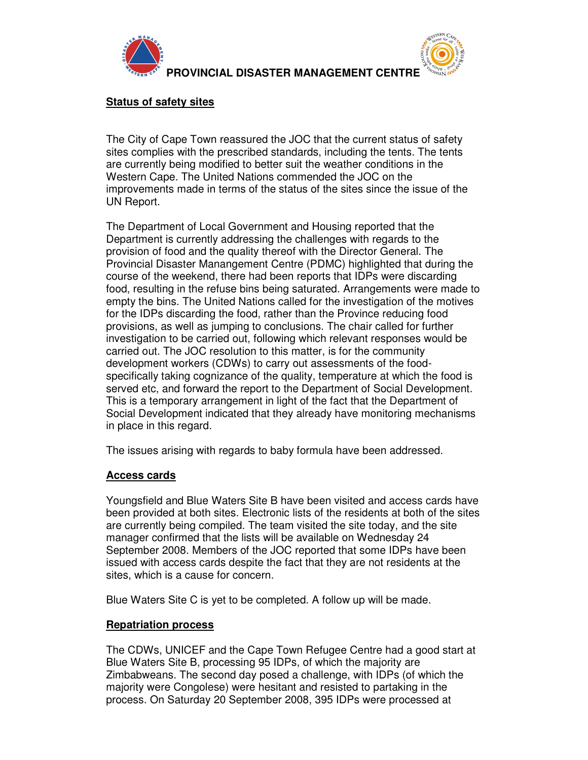



### **Status of safety sites**

The City of Cape Town reassured the JOC that the current status of safety sites complies with the prescribed standards, including the tents. The tents are currently being modified to better suit the weather conditions in the Western Cape. The United Nations commended the JOC on the improvements made in terms of the status of the sites since the issue of the UN Report.

The Department of Local Government and Housing reported that the Department is currently addressing the challenges with regards to the provision of food and the quality thereof with the Director General. The Provincial Disaster Manangement Centre (PDMC) highlighted that during the course of the weekend, there had been reports that IDPs were discarding food, resulting in the refuse bins being saturated. Arrangements were made to empty the bins. The United Nations called for the investigation of the motives for the IDPs discarding the food, rather than the Province reducing food provisions, as well as jumping to conclusions. The chair called for further investigation to be carried out, following which relevant responses would be carried out. The JOC resolution to this matter, is for the community development workers (CDWs) to carry out assessments of the foodspecifically taking cognizance of the quality, temperature at which the food is served etc, and forward the report to the Department of Social Development. This is a temporary arrangement in light of the fact that the Department of Social Development indicated that they already have monitoring mechanisms in place in this regard.

The issues arising with regards to baby formula have been addressed.

# **Access cards**

Youngsfield and Blue Waters Site B have been visited and access cards have been provided at both sites. Electronic lists of the residents at both of the sites are currently being compiled. The team visited the site today, and the site manager confirmed that the lists will be available on Wednesday 24 September 2008. Members of the JOC reported that some IDPs have been issued with access cards despite the fact that they are not residents at the sites, which is a cause for concern.

Blue Waters Site C is yet to be completed. A follow up will be made.

# **Repatriation process**

The CDWs, UNICEF and the Cape Town Refugee Centre had a good start at Blue Waters Site B, processing 95 IDPs, of which the majority are Zimbabweans. The second day posed a challenge, with IDPs (of which the majority were Congolese) were hesitant and resisted to partaking in the process. On Saturday 20 September 2008, 395 IDPs were processed at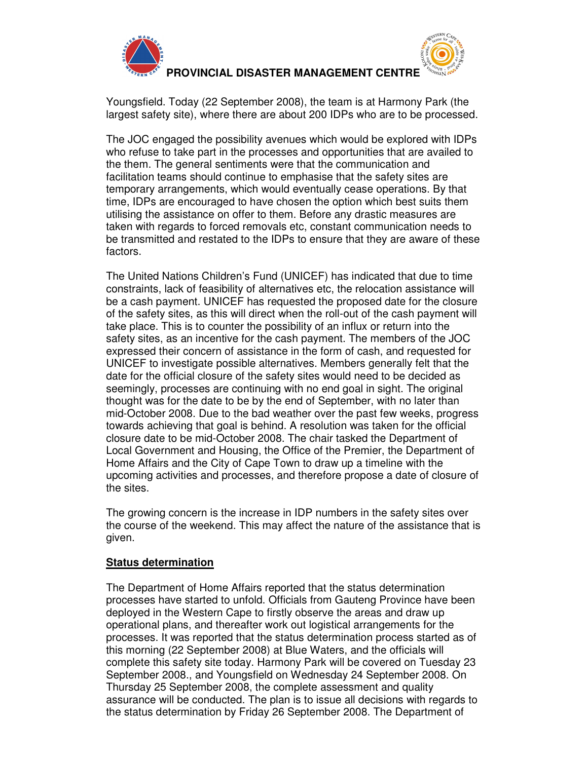



Youngsfield. Today (22 September 2008), the team is at Harmony Park (the largest safety site), where there are about 200 IDPs who are to be processed.

The JOC engaged the possibility avenues which would be explored with IDPs who refuse to take part in the processes and opportunities that are availed to the them. The general sentiments were that the communication and facilitation teams should continue to emphasise that the safety sites are temporary arrangements, which would eventually cease operations. By that time, IDPs are encouraged to have chosen the option which best suits them utilising the assistance on offer to them. Before any drastic measures are taken with regards to forced removals etc, constant communication needs to be transmitted and restated to the IDPs to ensure that they are aware of these factors.

The United Nations Children's Fund (UNICEF) has indicated that due to time constraints, lack of feasibility of alternatives etc, the relocation assistance will be a cash payment. UNICEF has requested the proposed date for the closure of the safety sites, as this will direct when the roll-out of the cash payment will take place. This is to counter the possibility of an influx or return into the safety sites, as an incentive for the cash payment. The members of the JOC expressed their concern of assistance in the form of cash, and requested for UNICEF to investigate possible alternatives. Members generally felt that the date for the official closure of the safety sites would need to be decided as seemingly, processes are continuing with no end goal in sight. The original thought was for the date to be by the end of September, with no later than mid-October 2008. Due to the bad weather over the past few weeks, progress towards achieving that goal is behind. A resolution was taken for the official closure date to be mid-October 2008. The chair tasked the Department of Local Government and Housing, the Office of the Premier, the Department of Home Affairs and the City of Cape Town to draw up a timeline with the upcoming activities and processes, and therefore propose a date of closure of the sites.

The growing concern is the increase in IDP numbers in the safety sites over the course of the weekend. This may affect the nature of the assistance that is given.

### **Status determination**

The Department of Home Affairs reported that the status determination processes have started to unfold. Officials from Gauteng Province have been deployed in the Western Cape to firstly observe the areas and draw up operational plans, and thereafter work out logistical arrangements for the processes. It was reported that the status determination process started as of this morning (22 September 2008) at Blue Waters, and the officials will complete this safety site today. Harmony Park will be covered on Tuesday 23 September 2008., and Youngsfield on Wednesday 24 September 2008. On Thursday 25 September 2008, the complete assessment and quality assurance will be conducted. The plan is to issue all decisions with regards to the status determination by Friday 26 September 2008. The Department of